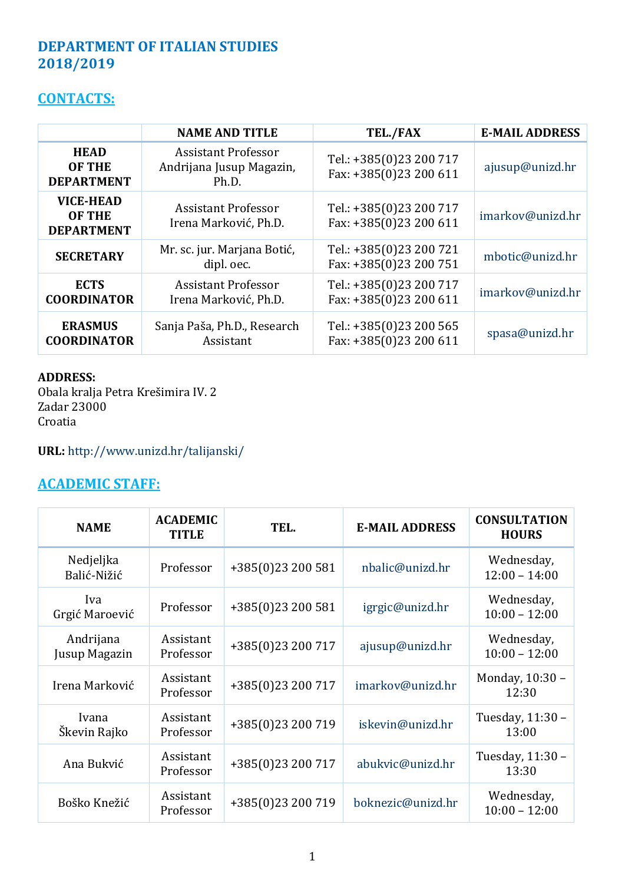## **DEPARTMENT OF ITALIAN STUDIES 2018/2019**

## **CONTACTS:**

|                                                        | <b>NAME AND TITLE</b>                                           | TEL./FAX                                          | <b>E-MAIL ADDRESS</b> |
|--------------------------------------------------------|-----------------------------------------------------------------|---------------------------------------------------|-----------------------|
| <b>HEAD</b><br><b>OF THE</b><br><b>DEPARTMENT</b>      | <b>Assistant Professor</b><br>Andrijana Jusup Magazin,<br>Ph.D. | Tel.: +385(0)23 200 717<br>Fax: +385(0)23 200 611 | ajusup@unizd.hr       |
| <b>VICE-HEAD</b><br><b>OF THE</b><br><b>DEPARTMENT</b> | <b>Assistant Professor</b><br>Irena Marković, Ph.D.             | Tel.: +385(0)23 200 717<br>Fax: +385(0)23 200 611 | imarkov@unizd.hr      |
| <b>SECRETARY</b>                                       | Mr. sc. jur. Marjana Botić,<br>dipl. oec.                       | Tel.: +385(0)23 200 721<br>Fax: +385(0)23 200 751 | mbotic@unizd.hr       |
| <b>ECTS</b><br><b>COORDINATOR</b>                      | <b>Assistant Professor</b><br>Irena Marković, Ph.D.             | Tel.: +385(0)23 200 717<br>Fax: +385(0)23 200 611 | imarkov@unizd.hr      |
| <b>ERASMUS</b><br><b>COORDINATOR</b>                   | Sanja Paša, Ph.D., Research<br>Assistant                        | Tel.: +385(0)23 200 565<br>Fax: +385(0)23 200 611 | spasa@unizd.hr        |

#### **ADDRESS:**

Obala kralja Petra Krešimira IV. 2 Zadar 23000 Croatia

**URL:** <http://www.unizd.hr/talijanski/>

# **ACADEMIC STAFF:**

| <b>NAME</b>                | <b>ACADEMIC</b><br><b>TITLE</b> | TEL.              | <b>E-MAIL ADDRESS</b> | <b>CONSULTATION</b><br><b>HOURS</b> |
|----------------------------|---------------------------------|-------------------|-----------------------|-------------------------------------|
| Nedjeljka<br>Balić-Nižić   | Professor                       | +385(0)23 200 581 | nbalic@unizd.hr       | Wednesday,<br>$12:00 - 14:00$       |
| Iva<br>Grgić Maroević      | Professor                       | +385(0)23 200 581 | igrgic@unizd.hr       | Wednesday,<br>$10:00 - 12:00$       |
| Andrijana<br>Jusup Magazin | Assistant<br>Professor          | +385(0)23 200 717 | ajusup@unizd.hr       | Wednesday,<br>$10:00 - 12:00$       |
| Irena Marković             | Assistant<br>Professor          | +385(0)23 200 717 | imarkov@unizd.hr      | Monday, 10:30 -<br>12:30            |
| Ivana<br>Škevin Rajko      | Assistant<br>Professor          | +385(0)23 200 719 | iskevin@unizd.hr      | Tuesday, 11:30 -<br>13:00           |
| Ana Bukvić                 | Assistant<br>Professor          | +385(0)23 200 717 | abukvic@unizd.hr      | Tuesday, 11:30 -<br>13:30           |
| Boško Knežić               | Assistant<br>Professor          | +385(0)23 200 719 | boknezic@unizd.hr     | Wednesday,<br>$10:00 - 12:00$       |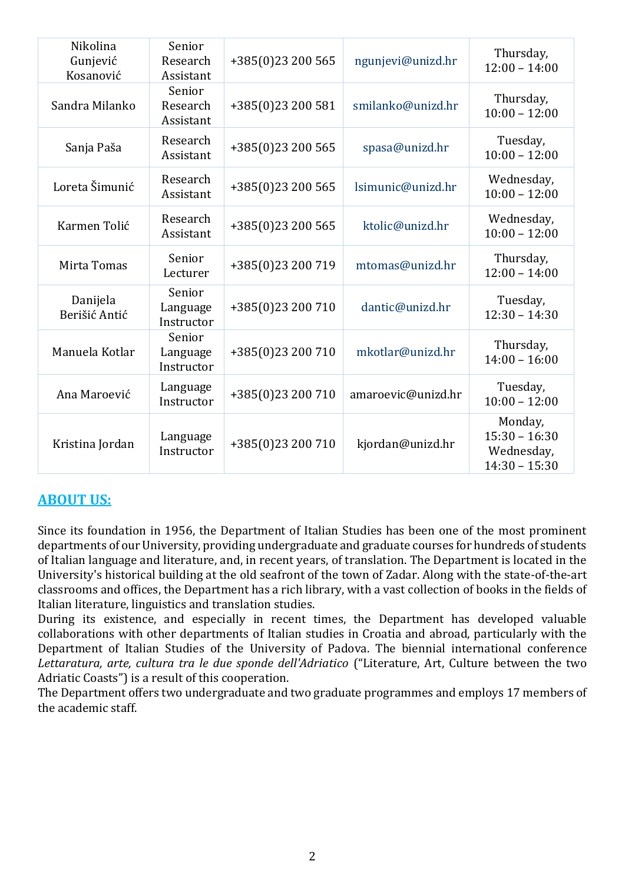| Nikolina<br>Gunjević<br>Kosanović | Senior<br>Research<br>Assistant  | +385(0)23 200 565 | ngunjevi@unizd.hr  | Thursday,<br>$12:00 - 14:00$                                |
|-----------------------------------|----------------------------------|-------------------|--------------------|-------------------------------------------------------------|
| Sandra Milanko                    | Senior<br>Research<br>Assistant  | +385(0)23 200 581 | smilanko@unizd.hr  | Thursday,<br>$10:00 - 12:00$                                |
| Sanja Paša                        | Research<br>Assistant            | +385(0)23 200 565 | spasa@unizd.hr     | Tuesday,<br>$10:00 - 12:00$                                 |
| Loreta Šimunić                    | Research<br>Assistant            | +385(0)23 200 565 | lsimunic@unizd.hr  | Wednesday,<br>$10:00 - 12:00$                               |
| Karmen Tolić                      | Research<br>Assistant            | +385(0)23 200 565 | ktolic@unizd.hr    | Wednesday,<br>$10:00 - 12:00$                               |
| Mirta Tomas                       | Senior<br>Lecturer               | +385(0)23 200 719 | mtomas@unizd.hr    | Thursday,<br>$12:00 - 14:00$                                |
| Danijela<br>Berišić Antić         | Senior<br>Language<br>Instructor | +385(0)23 200 710 | dantic@unizd.hr    | Tuesday,<br>$12:30 - 14:30$                                 |
| Manuela Kotlar                    | Senior<br>Language<br>Instructor | +385(0)23 200 710 | mkotlar@unizd.hr   | Thursday,<br>$14:00 - 16:00$                                |
| Ana Maroević                      | Language<br>Instructor           | +385(0)23 200 710 | amaroevic@unizd.hr | Tuesday,<br>$10:00 - 12:00$                                 |
| Kristina Jordan                   | Language<br>Instructor           | +385(0)23 200 710 | kjordan@unizd.hr   | Monday,<br>$15:30 - 16:30$<br>Wednesday,<br>$14:30 - 15:30$ |

## **ABOUT US:**

Since its foundation in 1956, the Department of Italian Studies has been one of the most prominent departments of our University, providing undergraduate and graduate courses for hundreds of students of Italian language and literature, and, in recent years, of translation. The Department is located in the University's historical building at the old seafront of the town of Zadar. Along with the state-of-the-art classrooms and offices, the Department has a rich library, with a vast collection of books in the fields of Italian literature, linguistics and translation studies.

During its existence, and especially in recent times, the Department has developed valuable collaborations with other departments of Italian studies in Croatia and abroad, particularly with the Department of Italian Studies of the University of Padova. The biennial international conference *Lettaratura, arte, cultura tra le due sponde dell'Adriatico* ("Literature, Art, Culture between the two Adriatic Coasts") is a result of this cooperation.

The Department offers two undergraduate and two graduate programmes and employs 17 members of the academic staff.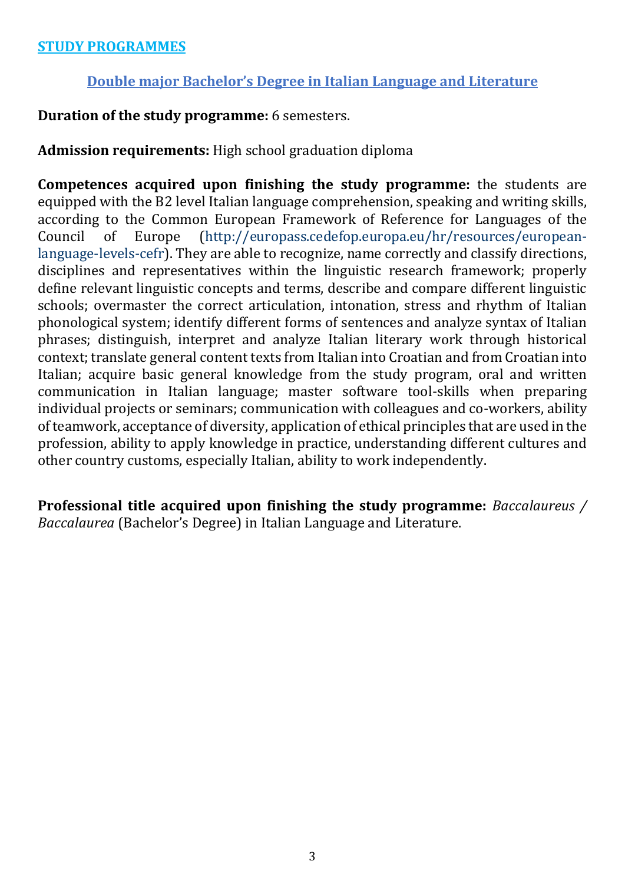#### **STUDY PROGRAMMES**

#### **Double major Bachelor's Degree in Italian Language and Literature**

**Duration of the study programme:** 6 semesters.

## **Admission requirements:** High school graduation diploma

**Competences acquired upon finishing the study programme:** the students are equipped with the B2 level Italian language comprehension, speaking and writing skills, according to the Common European Framework of Reference for Languages of the Council of Europe [\(http://europass.cedefop.europa.eu/hr/resources/european](http://europass.cedefop.europa.eu/hr/resources/european-language-levels-cefr)[language-levels-cefr\)](http://europass.cedefop.europa.eu/hr/resources/european-language-levels-cefr). They are able to recognize, name correctly and classify directions, disciplines and representatives within the linguistic research framework; properly define relevant linguistic concepts and terms, describe and compare different linguistic schools; overmaster the correct articulation, intonation, stress and rhythm of Italian phonological system; identify different forms of sentences and analyze syntax of Italian phrases; distinguish, interpret and analyze Italian literary work through historical context; translate general content texts from Italian into Croatian and from Croatian into Italian; acquire basic general knowledge from the study program, oral and written communication in Italian language; master software tool-skills when preparing individual projects or seminars; communication with colleagues and co-workers, ability of teamwork, acceptance of diversity, application of ethical principles that are used in the profession, ability to apply knowledge in practice, understanding different cultures and other country customs, especially Italian, ability to work independently.

**Professional title acquired upon finishing the study programme:** *Baccalaureus / Baccalaurea* (Bachelor's Degree) in Italian Language and Literature.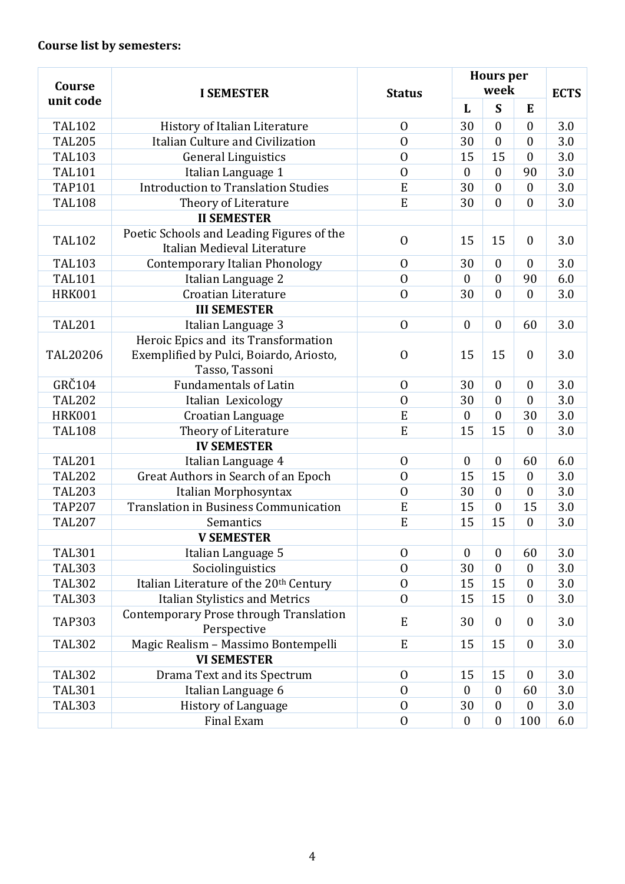| Course        | <b>I SEMESTER</b>                                                              | <b>Status</b>    | <b>Hours</b> per<br>week | <b>ECTS</b>            |                  |     |
|---------------|--------------------------------------------------------------------------------|------------------|--------------------------|------------------------|------------------|-----|
| unit code     |                                                                                |                  | L                        | S                      | E                |     |
| <b>TAL102</b> | History of Italian Literature                                                  | $\overline{0}$   | 30                       | $\mathbf{0}$           | $\mathbf{0}$     | 3.0 |
| <b>TAL205</b> | Italian Culture and Civilization                                               | $\overline{0}$   | 30                       | $\boldsymbol{0}$       | $\mathbf{0}$     | 3.0 |
| <b>TAL103</b> | <b>General Linguistics</b>                                                     | $\overline{0}$   | 15                       | 15                     | $\mathbf{0}$     | 3.0 |
| <b>TAL101</b> | Italian Language 1                                                             | $\overline{0}$   | $\mathbf{0}$             | $\mathbf{0}$           | 90               | 3.0 |
| <b>TAP101</b> | <b>Introduction to Translation Studies</b>                                     | ${\bf E}$        | 30                       | $\overline{0}$         | $\mathbf{0}$     | 3.0 |
| <b>TAL108</b> | Theory of Literature                                                           | ${\bf E}$        | 30                       | $\overline{0}$         | $\mathbf{0}$     | 3.0 |
|               | <b>II SEMESTER</b>                                                             |                  |                          |                        |                  |     |
| <b>TAL102</b> | Poetic Schools and Leading Figures of the<br>Italian Medieval Literature       | $\overline{0}$   | 15                       | 15                     | $\mathbf{0}$     | 3.0 |
| <b>TAL103</b> | <b>Contemporary Italian Phonology</b>                                          | $\overline{0}$   | 30                       | $\mathbf{0}$           | $\mathbf{0}$     | 3.0 |
| <b>TAL101</b> | Italian Language 2                                                             | $\overline{0}$   | $\overline{0}$           | $\mathbf{0}$           | 90               | 6.0 |
| <b>HRK001</b> | Croatian Literature                                                            | $\overline{0}$   | 30                       | $\boldsymbol{0}$       | $\boldsymbol{0}$ | 3.0 |
|               | <b>III SEMESTER</b>                                                            |                  |                          |                        |                  |     |
| <b>TAL201</b> | Italian Language 3                                                             | $\overline{0}$   | $\boldsymbol{0}$         | $\overline{0}$         | 60               | 3.0 |
| TAL20206      | Heroic Epics and its Transformation<br>Exemplified by Pulci, Boiardo, Ariosto, | $\mathbf{0}$     | 15                       | 15                     | $\mathbf{0}$     | 3.0 |
|               | Tasso, Tassoni                                                                 |                  |                          |                        |                  |     |
| GRČ104        | <b>Fundamentals of Latin</b>                                                   | $\overline{0}$   | 30                       | $\mathbf{0}$           | $\boldsymbol{0}$ | 3.0 |
| <b>TAL202</b> | Italian Lexicology                                                             | $\overline{0}$   | 30                       | $\mathbf{0}$           | $\mathbf{0}$     | 3.0 |
| <b>HRK001</b> | Croatian Language                                                              | ${\bf E}$        | $\boldsymbol{0}$         | $\mathbf{0}$           | 30               | 3.0 |
| <b>TAL108</b> | Theory of Literature                                                           | ${\bf E}$        | 15                       | 15                     | $\mathbf{0}$     | 3.0 |
|               | <b>IV SEMESTER</b>                                                             |                  |                          |                        |                  |     |
| <b>TAL201</b> | Italian Language 4                                                             | $\overline{0}$   | $\boldsymbol{0}$         | $\boldsymbol{0}$       | 60               | 6.0 |
| <b>TAL202</b> | Great Authors in Search of an Epoch                                            | $\overline{0}$   | 15                       | 15                     | $\mathbf{0}$     | 3.0 |
| <b>TAL203</b> | Italian Morphosyntax                                                           | $\boldsymbol{0}$ | 30                       | $\boldsymbol{0}$       | $\mathbf{0}$     | 3.0 |
| <b>TAP207</b> | <b>Translation in Business Communication</b>                                   | E                | 15                       | $\boldsymbol{0}$       | 15               | 3.0 |
| <b>TAL207</b> | Semantics                                                                      | E                | 15                       | 15                     | $\boldsymbol{0}$ | 3.0 |
| <b>TAL301</b> | <b>V SEMESTER</b>                                                              | $\overline{0}$   | $\boldsymbol{0}$         | $\mathbf{0}$           |                  | 3.0 |
|               | Italian Language 5                                                             | $\overline{0}$   | 30                       |                        | 60               |     |
| <b>TAL303</b> | Sociolinguistics                                                               | $\overline{0}$   |                          | $\boldsymbol{0}$<br>15 | $\boldsymbol{0}$ | 3.0 |
| <b>TAL302</b> | Italian Literature of the 20 <sup>th</sup> Century                             |                  | 15                       |                        | $\boldsymbol{0}$ | 3.0 |
| <b>TAL303</b> | Italian Stylistics and Metrics                                                 | $\overline{0}$   | 15                       | 15                     | $\boldsymbol{0}$ | 3.0 |
| <b>TAP303</b> | Contemporary Prose through Translation<br>Perspective                          | E                | 30                       | $\mathbf{0}$           | $\mathbf{0}$     | 3.0 |
| <b>TAL302</b> | Magic Realism - Massimo Bontempelli                                            | ${\bf E}$        | 15                       | 15                     | $\boldsymbol{0}$ | 3.0 |
|               | <b>VI SEMESTER</b>                                                             |                  |                          |                        |                  |     |
| <b>TAL302</b> | Drama Text and its Spectrum                                                    | $\overline{0}$   | 15                       | 15                     | $\boldsymbol{0}$ | 3.0 |
| <b>TAL301</b> | Italian Language 6                                                             | $\overline{0}$   | $\boldsymbol{0}$         | $\boldsymbol{0}$       | 60               | 3.0 |
| <b>TAL303</b> | History of Language                                                            | $\boldsymbol{0}$ | 30                       | $\boldsymbol{0}$       | $\boldsymbol{0}$ | 3.0 |
|               | Final Exam                                                                     | $\boldsymbol{0}$ | $\boldsymbol{0}$         | $\boldsymbol{0}$       | 100              | 6.0 |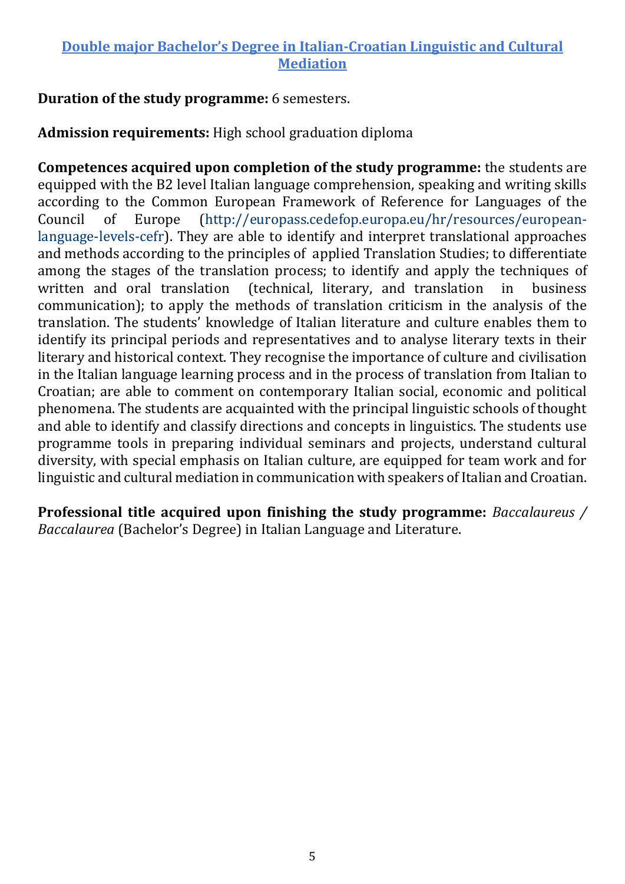## **Double major Bachelor's Degree in Italian-Croatian Linguistic and Cultural Mediation**

#### **Duration of the study programme:** 6 semesters.

## **Admission requirements:** High school graduation diploma

**Competences acquired upon completion of the study programme:** the students are equipped with the B2 level Italian language comprehension, speaking and writing skills according to the Common European Framework of Reference for Languages of the Council of Europe [\(http://europass.cedefop.europa.eu/hr/resources/european](http://europass.cedefop.europa.eu/hr/resources/european-language-levels-cefr)[language-levels-cefr\)](http://europass.cedefop.europa.eu/hr/resources/european-language-levels-cefr). They are able to identify and interpret translational approaches and methods according to the principles of applied Translation Studies; to differentiate among the stages of the translation process; to identify and apply the techniques of written and oral translation (technical, literary, and translation in business communication); to apply the methods of translation criticism in the analysis of the translation. The students' knowledge of Italian literature and culture enables them to identify its principal periods and representatives and to analyse literary texts in their literary and historical context. They recognise the importance of culture and civilisation in the Italian language learning process and in the process of translation from Italian to Croatian; are able to comment on contemporary Italian social, economic and political phenomena. The students are acquainted with the principal linguistic schools of thought and able to identify and classify directions and concepts in linguistics. The students use programme tools in preparing individual seminars and projects, understand cultural diversity, with special emphasis on Italian culture, are equipped for team work and for linguistic and cultural mediation in communication with speakers of Italian and Croatian.

**Professional title acquired upon finishing the study programme:** *Baccalaureus / Baccalaurea* (Bachelor's Degree) in Italian Language and Literature.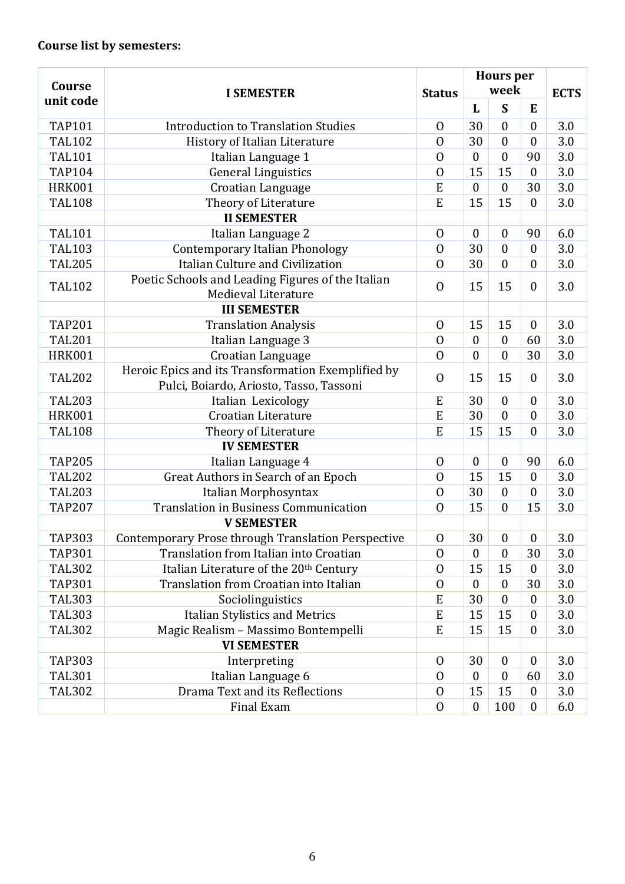| Course        | <b>I SEMESTER</b>                                                                             |                  | <b>Hours</b> per<br>week |                  |                  | <b>ECTS</b> |
|---------------|-----------------------------------------------------------------------------------------------|------------------|--------------------------|------------------|------------------|-------------|
| unit code     |                                                                                               |                  | L                        | S                | E                |             |
| <b>TAP101</b> | <b>Introduction to Translation Studies</b>                                                    | $\mathbf 0$      | 30                       | $\mathbf{0}$     | $\overline{0}$   | 3.0         |
| <b>TAL102</b> | History of Italian Literature                                                                 | $\overline{0}$   | 30                       | $\overline{0}$   | $\overline{0}$   | 3.0         |
| <b>TAL101</b> | Italian Language 1                                                                            | $\mathbf{0}$     | $\boldsymbol{0}$         | $\boldsymbol{0}$ | 90               | 3.0         |
| <b>TAP104</b> | <b>General Linguistics</b>                                                                    | $\overline{0}$   | 15                       | 15               | $\mathbf{0}$     | 3.0         |
| <b>HRK001</b> | Croatian Language                                                                             | E                | $\mathbf{0}$             | $\mathbf{0}$     | 30               | 3.0         |
| <b>TAL108</b> | Theory of Literature                                                                          | E                | 15                       | 15               | $\mathbf{0}$     | 3.0         |
|               | <b>II SEMESTER</b>                                                                            |                  |                          |                  |                  |             |
| <b>TAL101</b> | Italian Language 2                                                                            | $\Omega$         | $\boldsymbol{0}$         | $\boldsymbol{0}$ | 90               | 6.0         |
| <b>TAL103</b> | <b>Contemporary Italian Phonology</b>                                                         | $\overline{0}$   | 30                       | $\overline{0}$   | $\boldsymbol{0}$ | 3.0         |
| <b>TAL205</b> | Italian Culture and Civilization                                                              | $\overline{0}$   | 30                       | $\mathbf{0}$     | $\boldsymbol{0}$ | 3.0         |
| <b>TAL102</b> | Poetic Schools and Leading Figures of the Italian<br>Medieval Literature                      | $\overline{0}$   | 15                       | 15               | $\mathbf{0}$     | 3.0         |
|               | <b>III SEMESTER</b>                                                                           |                  |                          |                  |                  |             |
| <b>TAP201</b> | <b>Translation Analysis</b>                                                                   | $\overline{0}$   | 15                       | 15               | $\boldsymbol{0}$ | 3.0         |
| <b>TAL201</b> | Italian Language 3                                                                            | $\overline{0}$   | $\boldsymbol{0}$         | $\boldsymbol{0}$ | 60               | 3.0         |
| <b>HRK001</b> | Croatian Language                                                                             | $\overline{0}$   | $\mathbf{0}$             | $\theta$         | 30               | 3.0         |
| <b>TAL202</b> | Heroic Epics and its Transformation Exemplified by<br>Pulci, Boiardo, Ariosto, Tasso, Tassoni | $\overline{0}$   | 15                       | 15               | $\boldsymbol{0}$ | 3.0         |
| <b>TAL203</b> | Italian Lexicology                                                                            | E                | 30                       | $\mathbf{0}$     | $\mathbf{0}$     | 3.0         |
| <b>HRK001</b> | Croatian Literature                                                                           | E                | 30                       | $\mathbf{0}$     | $\overline{0}$   | 3.0         |
| <b>TAL108</b> | Theory of Literature                                                                          | E                | 15                       | 15               | $\overline{0}$   | 3.0         |
|               | <b>IV SEMESTER</b>                                                                            |                  |                          |                  |                  |             |
| <b>TAP205</b> | Italian Language 4                                                                            | $\Omega$         | $\boldsymbol{0}$         | $\boldsymbol{0}$ | 90               | 6.0         |
| <b>TAL202</b> | Great Authors in Search of an Epoch                                                           | $\overline{0}$   | 15                       | 15               | $\mathbf{0}$     | 3.0         |
| <b>TAL203</b> | Italian Morphosyntax                                                                          | $\overline{0}$   | 30                       | $\mathbf{0}$     | $\boldsymbol{0}$ | 3.0         |
| <b>TAP207</b> | <b>Translation in Business Communication</b>                                                  | $\overline{0}$   | 15                       | $\overline{0}$   | 15               | 3.0         |
|               | <b>V SEMESTER</b>                                                                             |                  |                          |                  |                  |             |
| <b>TAP303</b> | Contemporary Prose through Translation Perspective                                            | $\boldsymbol{0}$ | 30                       | $\boldsymbol{0}$ | $\boldsymbol{0}$ | 3.0         |
| <b>TAP301</b> | Translation from Italian into Croatian                                                        | $\overline{0}$   | $\boldsymbol{0}$         | $\mathbf{0}$     | 30               | 3.0         |
| <b>TAL302</b> | Italian Literature of the 20 <sup>th</sup> Century                                            | $\overline{0}$   | 15                       | 15               | $\mathbf{0}$     | 3.0         |
| <b>TAP301</b> | Translation from Croatian into Italian                                                        | $\overline{0}$   | $\theta$                 | $\mathbf{0}$     | 30               | 3.0         |
| <b>TAL303</b> | Sociolinguistics                                                                              | E                | 30                       | $\mathbf{0}$     | $\theta$         | 3.0         |
| <b>TAL303</b> | Italian Stylistics and Metrics                                                                | E                | 15                       | 15               | 0                | 3.0         |
| <b>TAL302</b> | Magic Realism - Massimo Bontempelli                                                           | E                | 15                       | 15               | $\boldsymbol{0}$ | 3.0         |
|               | <b>VI SEMESTER</b>                                                                            |                  |                          |                  |                  |             |
| <b>TAP303</b> | Interpreting                                                                                  | $\mathbf 0$      | 30                       | $\boldsymbol{0}$ | $\boldsymbol{0}$ | 3.0         |
| <b>TAL301</b> | Italian Language 6                                                                            | $\Omega$         | $\boldsymbol{0}$         | $\mathbf{0}$     | 60               | 3.0         |
| <b>TAL302</b> | Drama Text and its Reflections                                                                | $\overline{0}$   | 15                       | 15               | $\boldsymbol{0}$ | 3.0         |
|               | Final Exam                                                                                    | $\overline{0}$   | $\boldsymbol{0}$         | 100              | $\boldsymbol{0}$ | 6.0         |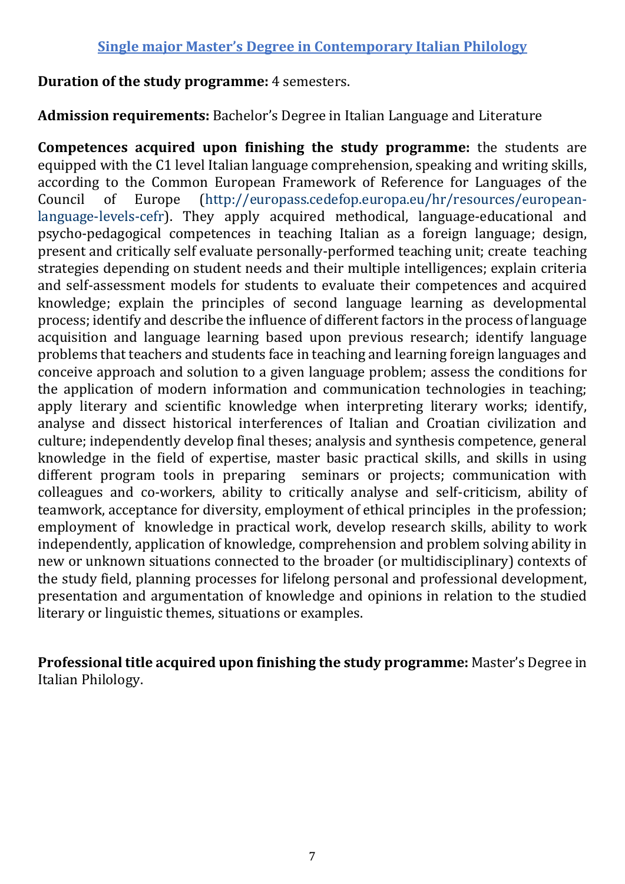### **Single major Master's Degree in Contemporary Italian Philology**

#### **Duration of the study programme:** 4 semesters.

**Admission requirements:** Bachelor's Degree in Italian Language and Literature

**Competences acquired upon finishing the study programme:** the students are equipped with the C1 level Italian language comprehension, speaking and writing skills, according to the Common European Framework of Reference for Languages of the Council of Europe [\(http://europass.cedefop.europa.eu/hr/resources/european](http://europass.cedefop.europa.eu/hr/resources/european-language-levels-cefr)[language-levels-cefr\)](http://europass.cedefop.europa.eu/hr/resources/european-language-levels-cefr). They apply acquired methodical, language-educational and psycho-pedagogical competences in teaching Italian as a foreign language; design, present and critically self evaluate personally-performed teaching unit; create teaching strategies depending on student needs and their multiple intelligences; explain criteria and self-assessment models for students to evaluate their competences and acquired knowledge; explain the principles of second language learning as developmental process; identify and describe the influence of different factors in the process of language acquisition and language learning based upon previous research; identify language problems that teachers and students face in teaching and learning foreign languages and conceive approach and solution to a given language problem; assess the conditions for the application of modern information and communication technologies in teaching; apply literary and scientific knowledge when interpreting literary works; identify, analyse and dissect historical interferences of Italian and Croatian civilization and culture; independently develop final theses; analysis and synthesis competence, general knowledge in the field of expertise, master basic practical skills, and skills in using different program tools in preparing seminars or projects; communication with colleagues and co-workers, ability to critically analyse and self-criticism, ability of teamwork, acceptance for diversity, employment of ethical principles in the profession; employment of knowledge in practical work, develop research skills, ability to work independently, application of knowledge, comprehension and problem solving ability in new or unknown situations connected to the broader (or multidisciplinary) contexts of the study field, planning processes for lifelong personal and professional development, presentation and argumentation of knowledge and opinions in relation to the studied literary or linguistic themes, situations or examples.

**Professional title acquired upon finishing the study programme:** Master's Degree in Italian Philology.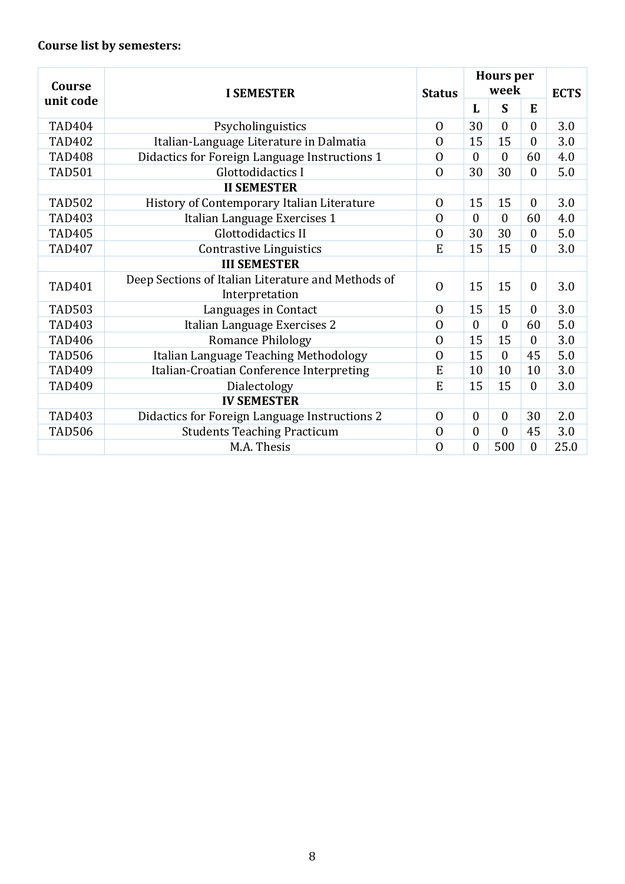| <b>Course</b> | <b>I SEMESTER</b>                                  | <b>Status</b>  | <b>Hours</b> per<br>week |                |                  | <b>ECTS</b> |
|---------------|----------------------------------------------------|----------------|--------------------------|----------------|------------------|-------------|
| unit code     |                                                    |                | L                        | S              | E                |             |
| <b>TAD404</b> | Psycholinguistics                                  | $\overline{0}$ | 30                       | $\overline{0}$ | $\overline{0}$   | 3.0         |
| <b>TAD402</b> | Italian-Language Literature in Dalmatia            | $\overline{0}$ | 15                       | 15             | $\mathbf{0}$     | 3.0         |
| <b>TAD408</b> | Didactics for Foreign Language Instructions 1      | $\overline{0}$ | $\theta$                 | $\theta$       | 60               | 4.0         |
| <b>TAD501</b> | Glottodidactics I                                  | $\overline{0}$ | 30                       | 30             | $\overline{0}$   | 5.0         |
|               | <b>II SEMESTER</b>                                 |                |                          |                |                  |             |
| <b>TAD502</b> | History of Contemporary Italian Literature         | $\overline{0}$ | 15                       | 15             | $\boldsymbol{0}$ | 3.0         |
| <b>TAD403</b> | Italian Language Exercises 1                       | $\overline{0}$ | $\theta$                 | $\theta$       | 60               | 4.0         |
| <b>TAD405</b> | Glottodidactics II                                 | $\overline{0}$ | 30                       | 30             | $\boldsymbol{0}$ | 5.0         |
| <b>TAD407</b> | <b>Contrastive Linguistics</b>                     | E              | 15                       | 15             | $\mathbf{0}$     | 3.0         |
|               | <b>III SEMESTER</b>                                |                |                          |                |                  |             |
| <b>TAD401</b> | Deep Sections of Italian Literature and Methods of | $\overline{0}$ | 15                       | 15             | $\mathbf{0}$     | 3.0         |
|               | Interpretation                                     |                |                          |                |                  |             |
| <b>TAD503</b> | Languages in Contact                               | $\overline{0}$ | 15                       | 15             | $\theta$         | 3.0         |
| <b>TAD403</b> | Italian Language Exercises 2                       | $\overline{0}$ | $\overline{0}$           | $\overline{0}$ | 60               | 5.0         |
| <b>TAD406</b> | <b>Romance Philology</b>                           | $\overline{0}$ | 15                       | 15             | $\theta$         | 3.0         |
| <b>TAD506</b> | Italian Language Teaching Methodology              | $\overline{0}$ | 15                       | $\mathbf{0}$   | 45               | 5.0         |
| <b>TAD409</b> | Italian-Croatian Conference Interpreting           | E              | 10                       | 10             | 10               | 3.0         |
| <b>TAD409</b> | Dialectology                                       | E              | 15                       | 15             | $\theta$         | 3.0         |
|               | <b>IV SEMESTER</b>                                 |                |                          |                |                  |             |
| <b>TAD403</b> | Didactics for Foreign Language Instructions 2      | $\mathbf{0}$   | $\theta$                 | $\mathbf{0}$   | 30               | 2.0         |
| <b>TAD506</b> | <b>Students Teaching Practicum</b>                 | $\overline{0}$ | $\mathbf{0}$             | $\overline{0}$ | 45               | 3.0         |
|               | M.A. Thesis                                        | $\overline{0}$ | $\boldsymbol{0}$         | 500            | $\boldsymbol{0}$ | 25.0        |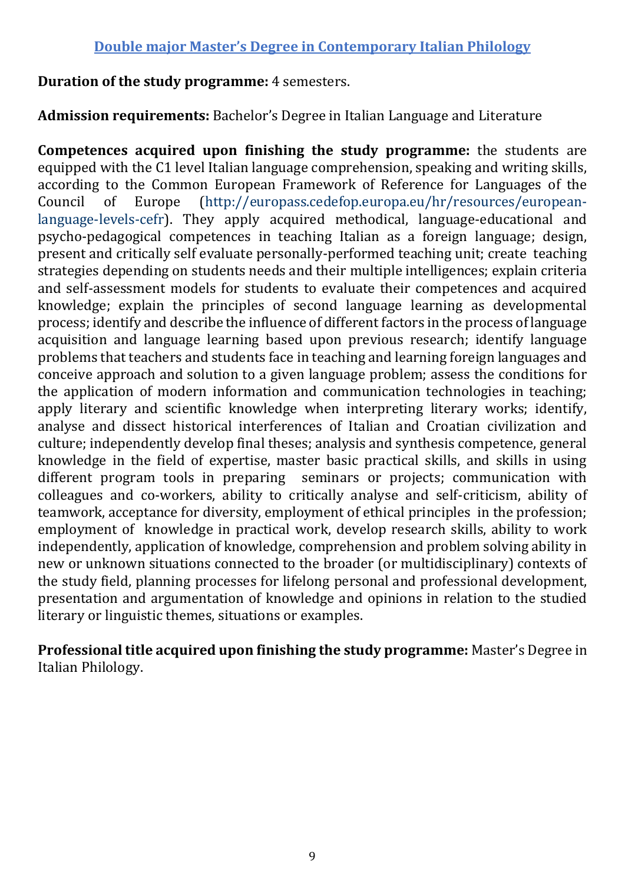## **Double major Master's Degree in Contemporary Italian Philology**

#### **Duration of the study programme:** 4 semesters.

**Admission requirements:** Bachelor's Degree in Italian Language and Literature

**Competences acquired upon finishing the study programme:** the students are equipped with the C1 level Italian language comprehension, speaking and writing skills, according to the Common European Framework of Reference for Languages of the Council of Europe [\(http://europass.cedefop.europa.eu/hr/resources/european](http://europass.cedefop.europa.eu/hr/resources/european-language-levels-cefr)[language-levels-cefr\)](http://europass.cedefop.europa.eu/hr/resources/european-language-levels-cefr). They apply acquired methodical, language-educational and psycho-pedagogical competences in teaching Italian as a foreign language; design, present and critically self evaluate personally-performed teaching unit; create teaching strategies depending on students needs and their multiple intelligences; explain criteria and self-assessment models for students to evaluate their competences and acquired knowledge; explain the principles of second language learning as developmental process; identify and describe the influence of different factors in the process of language acquisition and language learning based upon previous research; identify language problems that teachers and students face in teaching and learning foreign languages and conceive approach and solution to a given language problem; assess the conditions for the application of modern information and communication technologies in teaching; apply literary and scientific knowledge when interpreting literary works; identify, analyse and dissect historical interferences of Italian and Croatian civilization and culture; independently develop final theses; analysis and synthesis competence, general knowledge in the field of expertise, master basic practical skills, and skills in using different program tools in preparing seminars or projects; communication with colleagues and co-workers, ability to critically analyse and self-criticism, ability of teamwork, acceptance for diversity, employment of ethical principles in the profession; employment of knowledge in practical work, develop research skills, ability to work independently, application of knowledge, comprehension and problem solving ability in new or unknown situations connected to the broader (or multidisciplinary) contexts of the study field, planning processes for lifelong personal and professional development, presentation and argumentation of knowledge and opinions in relation to the studied literary or linguistic themes, situations or examples.

**Professional title acquired upon finishing the study programme:** Master's Degree in Italian Philology.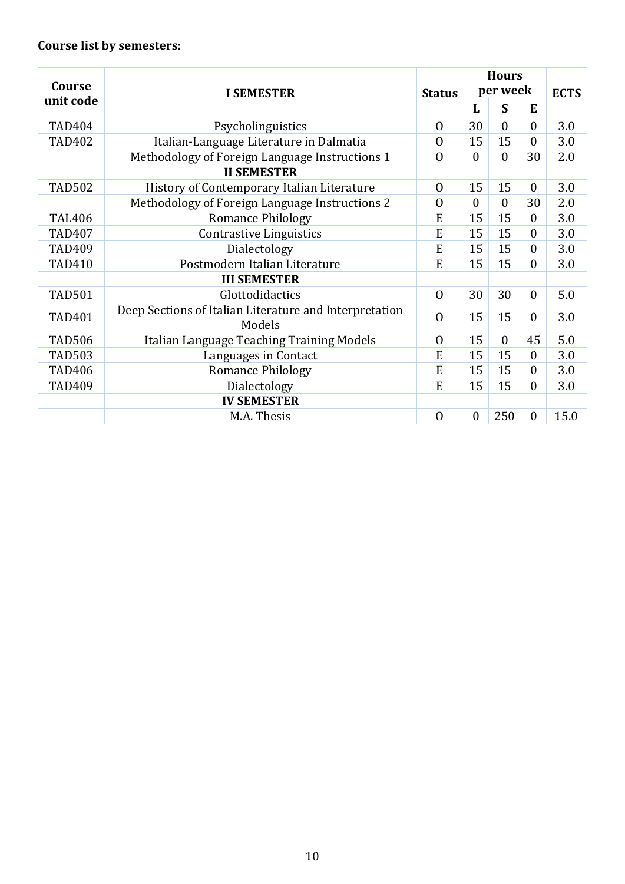## **Course list by semesters:**

| Course        | <b>I SEMESTER</b>                                                | <b>Status</b>  | <b>Hours</b><br>per week |                |                  | <b>ECTS</b> |
|---------------|------------------------------------------------------------------|----------------|--------------------------|----------------|------------------|-------------|
| unit code     |                                                                  |                | L                        | S              | E                |             |
| <b>TAD404</b> | Psycholinguistics                                                | $\mathbf{0}$   | 30                       | $\theta$       | $\mathbf{0}$     | 3.0         |
| <b>TAD402</b> | Italian-Language Literature in Dalmatia                          | $\overline{0}$ | 15                       | 15             | $\theta$         | 3.0         |
|               | Methodology of Foreign Language Instructions 1                   | $\overline{0}$ | $\boldsymbol{0}$         | $\overline{0}$ | 30               | 2.0         |
|               | <b>II SEMESTER</b>                                               |                |                          |                |                  |             |
| <b>TAD502</b> | History of Contemporary Italian Literature                       | $\overline{0}$ | 15                       | 15             | $\theta$         | 3.0         |
|               | Methodology of Foreign Language Instructions 2                   | $\Omega$       | $\boldsymbol{0}$         | $\mathbf{0}$   | 30               | 2.0         |
| <b>TAL406</b> | <b>Romance Philology</b>                                         | E              | 15                       | 15             | $\theta$         | 3.0         |
| <b>TAD407</b> | <b>Contrastive Linguistics</b>                                   | E              | 15                       | 15             | $\mathbf{0}$     | 3.0         |
| <b>TAD409</b> | Dialectology                                                     | E              | 15                       | 15             | $\theta$         | 3.0         |
| <b>TAD410</b> | Postmodern Italian Literature                                    | E              | 15                       | 15             | $\theta$         | 3.0         |
|               | <b>III SEMESTER</b>                                              |                |                          |                |                  |             |
| <b>TAD501</b> | Glottodidactics                                                  | $\Omega$       | 30                       | 30             | $\mathbf{0}$     | 5.0         |
| <b>TAD401</b> | Deep Sections of Italian Literature and Interpretation<br>Models | $\Omega$       | 15                       | 15             | $\theta$         | 3.0         |
| <b>TAD506</b> | Italian Language Teaching Training Models                        | $\overline{0}$ | 15                       | $\mathbf{0}$   | 45               | 5.0         |
| <b>TAD503</b> | Languages in Contact                                             | E              | 15                       | 15             | $\theta$         | 3.0         |
| <b>TAD406</b> | <b>Romance Philology</b>                                         | E              | 15                       | 15             | $\theta$         | 3.0         |
| <b>TAD409</b> | Dialectology                                                     | E              | 15                       | 15             | $\theta$         | 3.0         |
|               | <b>IV SEMESTER</b>                                               |                |                          |                |                  |             |
|               | M.A. Thesis                                                      | $\overline{0}$ | $\boldsymbol{0}$         | 250            | $\boldsymbol{0}$ | 15.0        |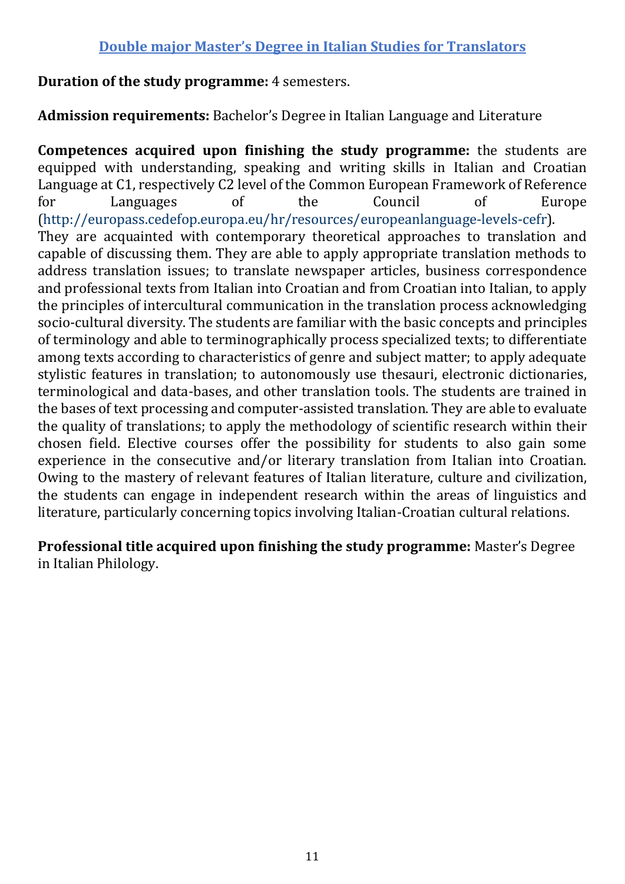## **Duration of the study programme:** 4 semesters.

**Admission requirements:** Bachelor's Degree in Italian Language and Literature

**Competences acquired upon finishing the study programme:** the students are equipped with understanding, speaking and writing skills in Italian and Croatian Language at C1, respectively C2 level of the Common European Framework of Reference for Languages of the Council of Europe (http://europass.cedefop.europa.eu/hr/resources/europeanlanguage-levels-cefr). They are acquainted with contemporary theoretical approaches to translation and capable of discussing them. They are able to apply appropriate translation methods to address translation issues; to translate newspaper articles, business correspondence and professional texts from Italian into Croatian and from Croatian into Italian, to apply the principles of intercultural communication in the translation process acknowledging socio-cultural diversity. The students are familiar with the basic concepts and principles of terminology and able to terminographically process specialized texts; to differentiate among texts according to characteristics of genre and subject matter; to apply adequate stylistic features in translation; to autonomously use thesauri, electronic dictionaries, terminological and data-bases, and other translation tools. The students are trained in the bases of text processing and computer-assisted translation. They are able to evaluate the quality of translations; to apply the methodology of scientific research within their chosen field. Elective courses offer the possibility for students to also gain some experience in the consecutive and/or literary translation from Italian into Croatian. Owing to the mastery of relevant features of Italian literature, culture and civilization, the students can engage in independent research within the areas of linguistics and literature, particularly concerning topics involving Italian-Croatian cultural relations.

**Professional title acquired upon finishing the study programme:** Master's Degree in Italian Philology.